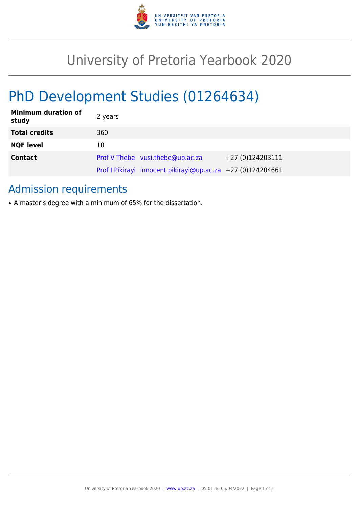

## University of Pretoria Yearbook 2020

# PhD Development Studies (01264634)

| <b>Minimum duration of</b><br>study | 2 years                                                     |                   |
|-------------------------------------|-------------------------------------------------------------|-------------------|
| <b>Total credits</b>                | 360                                                         |                   |
| <b>NQF level</b>                    | 10                                                          |                   |
| <b>Contact</b>                      | Prof V Thebe vusi.thebe@up.ac.za                            | $+27(0)124203111$ |
|                                     | Prof I Pikirayi innocent.pikirayi@up.ac.za +27 (0)124204661 |                   |

### Admission requirements

• A master's degree with a minimum of 65% for the dissertation.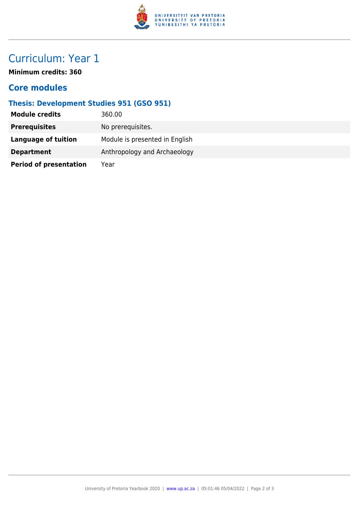

## Curriculum: Year 1

**Minimum credits: 360**

#### **Core modules**

#### **Thesis: Development Studies 951 (GSO 951)**

| <b>Module credits</b>         | 360.00                         |
|-------------------------------|--------------------------------|
| <b>Prerequisites</b>          | No prerequisites.              |
| Language of tuition           | Module is presented in English |
| <b>Department</b>             | Anthropology and Archaeology   |
| <b>Period of presentation</b> | Year                           |